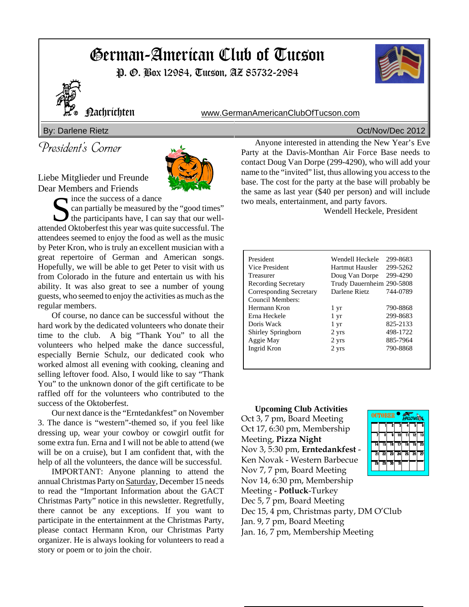# German-American Club of Tucson

P. O. Box 12984, Tucson, AZ 85732-2984



Nachrichten www.GermanAmericanClubOfTucson.com

### By: Darlene Rietz **Decay Community** Controller Community Community Community Community Community Community Community Community Community Community Community Community Community Community Community Community Community Commu

President's Corner

Liebe Mitglieder und Freunde Dear Members and Friends



Solice the success of a dance<br>
can partially be measured b<br>
the participants have, I can can partially be measured by the "good times" the participants have, I can say that our wellattended Oktoberfest this year was quite successful. The attendees seemed to enjoy the food as well as the music by Peter Kron, who is truly an excellent musician with a great repertoire of German and American songs. Hopefully, we will be able to get Peter to visit with us from Colorado in the future and entertain us with his ability. It was also great to see a number of young guests, who seemed to enjoy the activities as much as the regular members.

Of course, no dance can be successful without the hard work by the dedicated volunteers who donate their time to the club. A big "Thank You" to all the volunteers who helped make the dance successful, especially Bernie Schulz, our dedicated cook who worked almost all evening with cooking, cleaning and selling leftover food. Also, I would like to say "Thank You" to the unknown donor of the gift certificate to be raffled off for the volunteers who contributed to the success of the Oktoberfest.

Our next dance is the "Erntedankfest" on November 3. The dance is "western"-themed so, if you feel like dressing up, wear your cowboy or cowgirl outfit for some extra fun. Erna and I will not be able to attend (we will be on a cruise), but I am confident that, with the help of all the volunteers, the dance will be successful.

IMPORTANT: Anyone planning to attend the annual Christmas Party on Saturday, December 15 needs to read the "Important Information about the GACT Christmas Party" notice in this newsletter. Regretfully, there cannot be any exceptions. If you want to participate in the entertainment at the Christmas Party, please contact Hermann Kron, our Christmas Party organizer. He is always looking for volunteers to read a story or poem or to join the choir.

Anyone interested in attending the New Year's Eve Party at the Davis-Monthan Air Force Base needs to contact Doug Van Dorpe (299-4290), who will add your name to the "invited" list, thus allowing you access to the base. The cost for the party at the base will probably be the same as last year (\$40 per person) and will include two meals, entertainment, and party favors.

Wendell Heckele, President

| President                  | Wendell Heckele           | 299-8683 |
|----------------------------|---------------------------|----------|
| Vice President             | Hartmut Hausler           | 299-5262 |
| Treasurer                  | Doug Van Dorpe            | 299-4290 |
| <b>Recording Secretary</b> | Trudy Dauernheim 290-5808 |          |
| Corresponding Secretary    | Darlene Rietz             | 744-0789 |
| Council Members:           |                           |          |
| Hermann Kron               | 1 yr                      | 790-8868 |
| Erna Heckele               | 1 yr                      | 299-8683 |
| Doris Wack                 | 1 yr                      | 825-2133 |
| Shirley Springborn         | 2 yrs                     | 498-1722 |
| Aggie May                  | 2 yrs                     | 885-7964 |
| Ingrid Kron                | 2 yrs                     | 790-8868 |
|                            |                           |          |
|                            |                           |          |

**Upcoming Club Activities** Oct 3, 7 pm, Board Meeting Oct 17, 6:30 pm, Membership Meeting, **Pizza Night** Nov 3, 5:30 pm, **Erntedankfest** - Ken Novak - Western Barbecue Nov 7, 7 pm, Board Meeting Nov 14, 6:30 pm, Membership Meeting - **Potluck**-Turkey Dec 5, 7 pm, Board Meeting Dec 15, 4 pm, Christmas party, DM O'Club Jan. 9, 7 pm, Board Meeting Jan. 16, 7 pm, Membership Meeting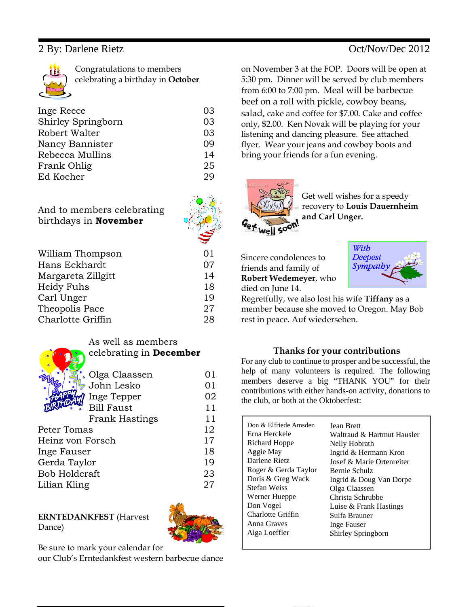Congratulations to members celebrating a birthday in **October**

| Inge Reece         | 03 |
|--------------------|----|
| Shirley Springborn | 03 |
|                    |    |
| Robert Walter      | 03 |
| Nancy Bannister    | 09 |
| Rebecca Mullins    | 14 |
| Frank Ohlig        | 25 |
| Ed Kocher          | 29 |
|                    |    |

And to members celebrating birthdays in **November**

|--|

| 01 |
|----|
| 07 |
| 14 |
| 18 |
| 19 |
| 27 |
| 28 |
|    |

|   | $\rlap{/}{d}$ |
|---|---------------|
| F |               |

### As well as members celebrating in **December**

| . Olga Claassen      | 01 |
|----------------------|----|
| John Lesko           | 01 |
| Inge Tepper          | 02 |
| <b>Bill Faust</b>    | 11 |
| Frank Hastings       | 11 |
| Peter Tomas          | 12 |
| Heinz von Forsch     | 17 |
| Inge Fauser          | 18 |
| Gerda Taylor         | 19 |
| <b>Bob Holdcraft</b> | 23 |
| Lilian Kling         | 27 |
|                      |    |

### **ERNTEDANKFEST** (Harvest Dance)



Be sure to mark your calendar for

our Club's Erntedankfest western barbecue dance

on November 3 at the FOP. Doors will be open at 5:30 pm. Dinner will be served by club members from 6:00 to 7:00 pm. Meal will be barbecue beef on a roll with pickle, cowboy beans, salad, cake and coffee for \$7.00. Cake and coffee only, \$2.00. Ken Novak will be playing for your listening and dancing pleasure. See attached flyer. Wear your jeans and cowboy boots and bring your friends for a fun evening.



Get well wishes for a speedy recovery to **Louis Dauernheim and Carl Unger.** 

Sincere condolences to friends and family of **Robert Wedemeyer**, who died on June 14.



Regretfully, we also lost his wife **Tiffany** as a member because she moved to Oregon. May Bob rest in peace. Auf wiedersehen.

### **Thanks for your contributions**

For any club to continue to prosper and be successful, the help of many volunteers is required. The following members deserve a big "THANK YOU" for their contributions with either hands-on activity, donations to the club, or both at the Oktoberfest:

| Don & Elfriede Amsden | <b>Jean Brett</b>          |
|-----------------------|----------------------------|
| Erna Herckele         | Waltraud & Hartmut Hausler |
| Richard Hoppe         | Nelly Hobrath              |
| Aggie May             | Ingrid & Hermann Kron      |
| Darlene Rietz         | Josef & Marie Ortenreiter  |
| Roger & Gerda Taylor  | Bernie Schulz              |
| Doris & Greg Wack     | Ingrid & Doug Van Dorpe    |
| <b>Stefan Weiss</b>   | Olga Claassen              |
| Werner Hueppe         | Christa Schrubbe           |
| Don Vogel             | Luise & Frank Hastings     |
| Charlotte Griffin     | Sulfa Brauner              |
| Anna Graves           | Inge Fauser                |
| Aiga Loeffler         | Shirley Springborn         |
|                       |                            |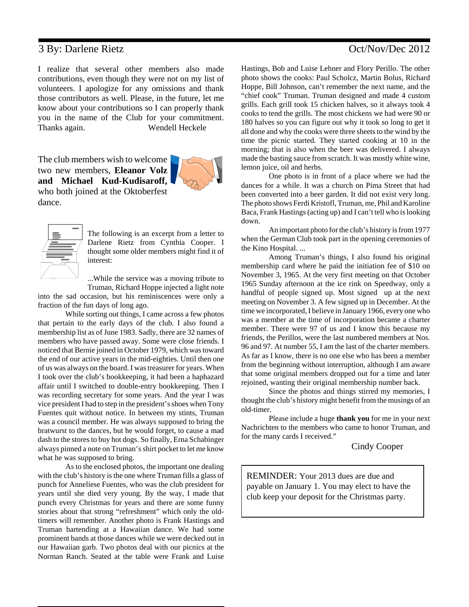I realize that several other members also made contributions, even though they were not on my list of volunteers. I apologize for any omissions and thank those contributors as well. Please, in the future, let me know about your contributions so I can properly thank you in the name of the Club for your commitment. Thanks again. Wendell Heckele

The club members wish to welcome two new members, **Eleanor Volz and Michael Kud-Kudisaroff,** who both joined at the Oktoberfest dance.





The following is an excerpt from a letter to Darlene Rietz from Cynthia Cooper. I thought some older members might find it of interest:

...While the service was a moving tribute to

Truman, Richard Hoppe injected a light note into the sad occasion, but his reminiscences were only a fraction of the fun days of long ago.

While sorting out things, I came across a few photos that pertain to the early days of the club. I also found a membership list as of June 1983. Sadly, there are 32 names of members who have passed away. Some were close friends. I noticed that Bernie joined in October 1979, which was toward the end of our active years in the mid-eighties. Until then one of us was always on the board. I was treasurer for years. When I took over the club's bookkeeping, it had been a haphazard affair until I switched to double-entry bookkeeping. Then I was recording secretary for some years. And the year I was vice president I had to step in the president's shoes when Tony Fuentes quit without notice. In between my stints, Truman was a council member. He was always supposed to bring the bratwurst to the dances, but he would forget, to cause a mad dash to the stores to buy hot dogs. So finally, Erna Schabinger always pinned a note on Truman's shirt pocket to let me know what he was supposed to bring.

As to the enclosed photos, the important one dealing with the club's history is the one where Truman fills a glass of punch for Anneliese Fuentes, who was the club president for years until she died very young. By the way, I made that punch every Christmas for years and there are some funny stories about that strong "refreshment" which only the oldtimers will remember. Another photo is Frank Hastings and Truman bartending at a Hawaiian dance. We had some prominent bands at those dances while we were decked out in our Hawaiian garb. Two photos deal with our picnics at the Norman Ranch. Seated at the table were Frank and Luise

Hastings, Bob and Luise Lehner and Flory Perillo. The other photo shows the cooks: Paul Scholcz, Martin Bolus, Richard Hoppe, Bill Johnson, can't remember the next name, and the "chief cook" Truman. Truman designed and made 4 custom grills. Each grill took 15 chicken halves, so it always took 4 cooks to tend the grills. The most chickens we had were 90 or 180 halves so you can figure out why it took so long to get it all done and why the cooks were three sheets to the wind by the time the picnic started. They started cooking at 10 in the morning; that is also when the beer was delivered. I always made the basting sauce from scratch. It was mostly white wine, lemon juice, oil and herbs.

One photo is in front of a place where we had the dances for a while. It was a church on Pima Street that had been converted into a beer garden. It did not exist very long. The photo shows Ferdi Kristofl, Truman, me, Phil and Karoline Baca, Frank Hastings (acting up) and I can't tell who is looking down.

An important photo for the club's history is from 1977 when the German Club took part in the opening ceremonies of the Kino Hospital. ...

Among Truman's things, I also found his original membership card where he paid the initiation fee of \$10 on November 3, 1965. At the very first meeting on that October 1965 Sunday afternoon at the ice rink on Speedway, only a handful of people signed up. Most signed up at the next meeting on November 3. A few signed up in December. At the time we incorporated, I believe in January 1966, every one who was a member at the time of incorporation became a charter member. There were 97 of us and I know this because my friends, the Perillos, were the last numbered members at Nos. 96 and 97. At number 55, I am the last of the charter members. As far as I know, there is no one else who has been a member from the beginning without interruption, although I am aware that some original members dropped out for a time and later rejoined, wanting their original membership number back.

Since the photos and things stirred my memories, I thought the club's history might benefit from the musings of an old-timer.

Please include a huge **thank you** for me in your next Nachrichten to the members who came to honor Truman, and for the many cards I received."

Cindy Cooper

REMINDER: Your 2013 dues are due and payable on January 1. You may elect to have the club keep your deposit for the Christmas party.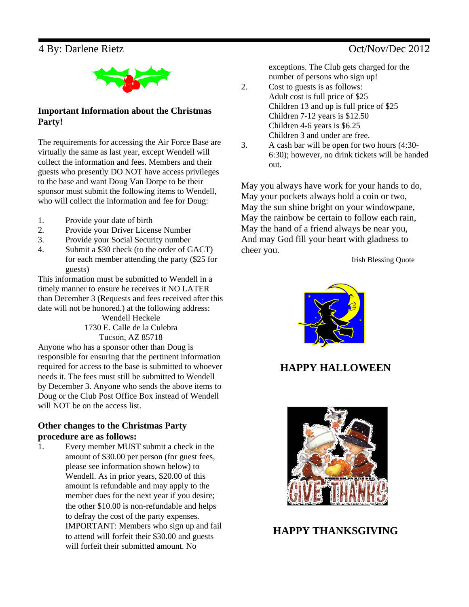

**Important Information about the Christmas Party!**

The requirements for accessing the Air Force Base are virtually the same as last year, except Wendell will collect the information and fees. Members and their guests who presently DO NOT have access privileges to the base and want Doug Van Dorpe to be their sponsor must submit the following items to Wendell, who will collect the information and fee for Doug:

- 1. Provide your date of birth
- 2. Provide your Driver License Number
- 3. Provide your Social Security number
- 4. Submit a \$30 check (to the order of GACT) for each member attending the party (\$25 for guests)

This information must be submitted to Wendell in a timely manner to ensure he receives it NO LATER than December 3 (Requests and fees received after this date will not be honored.) at the following address:

Wendell Heckele 1730 E. Calle de la Culebra Tucson, AZ 85718

Anyone who has a sponsor other than Doug is responsible for ensuring that the pertinent information required for access to the base is submitted to whoever needs it. The fees must still be submitted to Wendell by December 3. Anyone who sends the above items to Doug or the Club Post Office Box instead of Wendell will NOT be on the access list.

### **Other changes to the Christmas Party procedure are as follows:**

1. Every member MUST submit a check in the amount of \$30.00 per person (for guest fees, please see information shown below) to Wendell. As in prior years, \$20.00 of this amount is refundable and may apply to the member dues for the next year if you desire; the other \$10.00 is non-refundable and helps to defray the cost of the party expenses. IMPORTANT: Members who sign up and fail to attend will forfeit their \$30.00 and guests will forfeit their submitted amount. No

exceptions. The Club gets charged for the number of persons who sign up!

- 2. Cost to guests is as follows: Adult cost is full price of \$25 Children 13 and up is full price of \$25 Children 7-12 years is \$12.50 Children 4-6 years is \$6.25 Children 3 and under are free.
- 3. A cash bar will be open for two hours (4:30- 6:30); however, no drink tickets will be handed out.

May you always have work for your hands to do, May your pockets always hold a coin or two, May the sun shine bright on your windowpane, May the rainbow be certain to follow each rain, May the hand of a friend always be near you, And may God fill your heart with gladness to cheer you.

Irish Blessing Quote



# **HAPPY HALLOWEEN**



### **HAPPY THANKSGIVING**